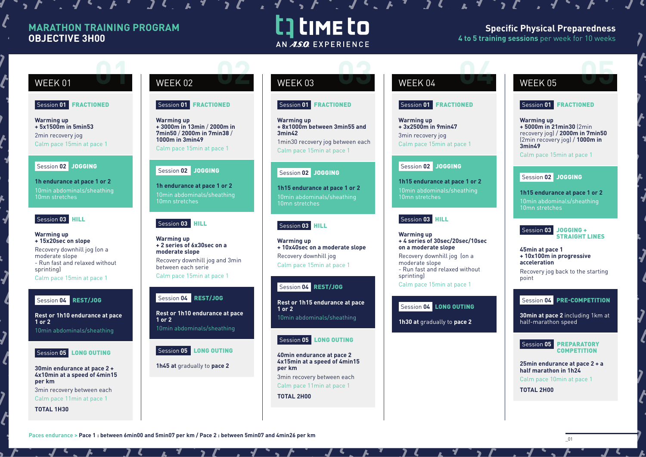# **MARATHON TRAINING PROGRAM OBJECTIVE 3H00**

# t] time to AN ASO EXPERIENCE

 $\mathbf{1} \cdot \mathbf{1} \cdot \mathbf{1} \cdot \mathbf{1} \cdot \mathbf{1} \cdot \mathbf{1} \cdot \mathbf{1} \cdot \mathbf{1} \cdot \mathbf{1} \cdot \mathbf{1} \cdot \mathbf{1} \cdot \mathbf{1} \cdot \mathbf{1} \cdot \mathbf{1} \cdot \mathbf{1} \cdot \mathbf{1} \cdot \mathbf{1} \cdot \mathbf{1} \cdot \mathbf{1} \cdot \mathbf{1} \cdot \mathbf{1} \cdot \mathbf{1} \cdot \mathbf{1} \cdot \mathbf{1} \cdot \mathbf{1} \cdot \mathbf{1} \cdot \mathbf{1} \cdot \mathbf{$ 

# **Specific Physical Preparedness 4 to 5 training sessions** per week for 10 weeks

#### Session **01** FRACTIONED

**Warming up + 5x1500m in 5min53** 2min recovery jog Calm pace 15min at pace 1

#### Session **02** JOGGING

**1h endurance at pace 1 or 2** 10min abdominals/sheathing 10mn stretches

### Session **03** HILL

**Warming up + 15x20sec on slope** Recovery downhill jog (on a moderate slope - Run fast and relaxed without sprinting) Calm pace 15min at pace 1

## Session **04** REST/JOG

**Rest or 1h10 endurance at pace 1 or 2**

10min abdominals/sheathing



**30min endurance at pace 2 + 4x10min at a speed of 4min15 per km**

3min recovery between each Calm pace 11min at pace 1

**TOTAL 1H30**

# WEEK 01 WEEK 02 WEEK 03 WEEK 04 WEEK 05 **02 0 02 03 02 03 02 03 02 03 02 03 02 04 05 05 05 05**

#### Session **01** FRACTIONED

**Warming up + 3000m in 13min** / **2000m in 7min50** / **2000m in 7min38** / **1000m in 3min49** Calm pace 15min at pace 1

# Session **02** JOGGING

**1h endurance at pace 1 or 2** 10min abdominals/sheathing 10mn stretches

### Session 03 HILL

**Warming up + 2 series of 6x30sec on a moderate slope** Recovery downhill jog and 3min between each serie Calm pace 15min at pace 1

#### Session **04** REST/JOG

**Rest or 1h10 endurance at pace 1 or 2** 10min abdominals/sheathing

### Session **05** LONG OUTING

**1h45 at** gradually to **pace 2**

#### Session **01** FRACTIONED

**Warming up + 8x1000m between 3min55 and 3min42** 1min30 recovery jog between each

Calm pace 15min at pace 1

# Session **02** JOGGING

**1h15 endurance at pace 1 or 2** 10mn stretches

# Session **03** HILL

**Warming up + 10x40sec on a moderate slope** Recovery downhill jog Calm pace 15min at pace 1

# Session **04** REST/JOG

**Rest or 1h15 endurance at pace 1 or 2** 10min abdominals/sheathing

### Session **05** LONG OUTING

**40min endurance at pace 2 4x15min at a speed of 4min15 per km** 3min recovery between each

Calm pace 11min at pace 1

**TOTAL 2H00**

## Session **01** FRACTIONED

 $\mathcal I$ 

**Warming up + 3x2500m in 9min47** 3min recovery jog Calm pace 15min at pace 1

### Session 02 JOGGING

**1h15 endurance at pace 1 or 2** 10min abdominals/sheathing 10mn stretches

# Session **03** HILL

**Warming up + 4 series of 30sec/20sec/10sec on a moderate slope** Recovery downhill jog (on a moderate slope - Run fast and relaxed without sprinting) Calm pace 15min at pace 1

# Session **04** LONG OUTING

**1h30 at** gradually to **pace 2**

# Session **01** FRACTIONED

**Warming up + 5000m in 21min30** (2min recovery jog) / **2000m in 7min50**  (2min recovery jog) / **1000m in 3min49**

Calm pace 15min at pace 1

# Session **02** JOGGING

**1h15 endurance at pace 1 or 2** 10min abdominals/sheathing 10mn stretches



**45min at pace 1 + 10x100m in progressive acceleration**

Recovery jog back to the starting point

## Session **04** PRE-COMPETITION

**30min at pace 2** including 1km at half-marathon speed



**25min endurance at pace 2 + a half marathon in 1h24**  Calm pace 10min at pace 1

**TOTAL 2H00**

Paces endurance > Pace 1 : between 6min00 and 5min07 per km / Pace 2 : between 5min07 and 4min26 per km **definition**